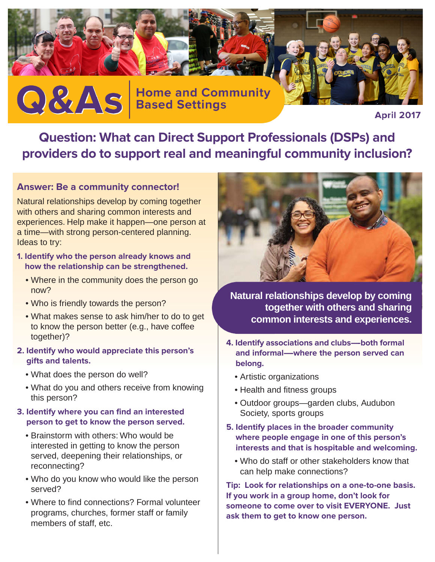

**April 2017**

**Question: What can Direct Support Professionals (DSPs) and providers do to support real and meaningful community inclusion?**

## **Answer: Be a community connector!**

Natural relationships develop by coming together with others and sharing common interests and experiences. Help make it happen—one person at a time—with strong person-centered planning. Ideas to try:

- **1. Identify who the person already knows and how the relationship can be strengthened.**
	- Where in the community does the person go now?
	- Who is friendly towards the person?
	- What makes sense to ask him/her to do to get to know the person better (e.g., have coffee together)?
- **2. Identify who would appreciate this person's gifts and talents.**
	- What does the person do well?
	- What do you and others receive from knowing this person?
- **3. Identify where you can find an interested person to get to know the person served.**
	- Brainstorm with others: Who would be interested in getting to know the person served, deepening their relationships, or reconnecting?
	- Who do you know who would like the person served?
	- Where to find connections? Formal volunteer programs, churches, former staff or family members of staff, etc.



**Natural relationships develop by coming together with others and sharing common interests and experiences.**

- **4. Identify associations and clubs---both formal** and informal---where the person served can **belong.**
	- Artistic organizations
	- Health and fitness groups
	- Outdoor groups—garden clubs, Audubon Society, sports groups
- **5. Identify places in the broader community where people engage in one of this person's interests and that is hospitable and welcoming.**
	- Who do staff or other stakeholders know that can help make connections?

**Tip: Look for relationships on a one-to-one basis. If you work in a group home, don't look for someone to come over to visit EVERYONE. Just ask them to get to know one person.**